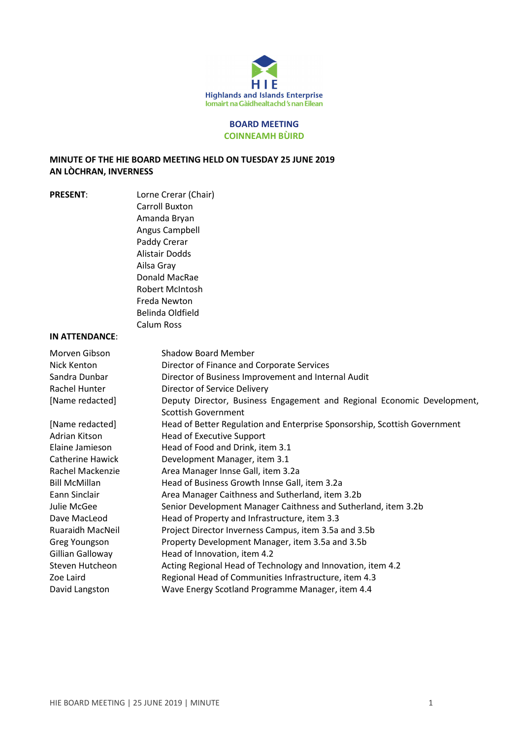

#### BOARD MEETING COINNEAMH BÙIRD

## MINUTE OF THE HIE BOARD MEETING HELD ON TUESDAY 25 JUNE 2019 AN LÒCHRAN, INVERNESS

PRESENT: Lorne Crerar (Chair) Carroll Buxton Amanda Bryan Angus Campbell Paddy Crerar Alistair Dodds Ailsa Gray Donald MacRae Robert McIntosh Freda Newton Belinda Oldfield Calum Ross

#### IN ATTENDANCE:

| Morven Gibson<br>Nick Kenton | Shadow Board Member<br>Director of Finance and Corporate Services         |
|------------------------------|---------------------------------------------------------------------------|
| Sandra Dunbar                | Director of Business Improvement and Internal Audit                       |
| Rachel Hunter                | Director of Service Delivery                                              |
| [Name redacted]              | Deputy Director, Business Engagement and Regional Economic Development,   |
|                              | Scottish Government                                                       |
| [Name redacted]              | Head of Better Regulation and Enterprise Sponsorship, Scottish Government |
| Adrian Kitson                | <b>Head of Executive Support</b>                                          |
| Elaine Jamieson              | Head of Food and Drink, item 3.1                                          |
| Catherine Hawick             | Development Manager, item 3.1                                             |
| Rachel Mackenzie             | Area Manager Innse Gall, item 3.2a                                        |
| <b>Bill McMillan</b>         | Head of Business Growth Innse Gall, item 3.2a                             |
| Eann Sinclair                | Area Manager Caithness and Sutherland, item 3.2b                          |
| Julie McGee                  | Senior Development Manager Caithness and Sutherland, item 3.2b            |
| Dave MacLeod                 | Head of Property and Infrastructure, item 3.3                             |
| <b>Ruaraidh MacNeil</b>      | Project Director Inverness Campus, item 3.5a and 3.5b                     |
| Greg Youngson                | Property Development Manager, item 3.5a and 3.5b                          |
| Gillian Galloway             | Head of Innovation, item 4.2                                              |
| Steven Hutcheon              | Acting Regional Head of Technology and Innovation, item 4.2               |
| Zoe Laird                    | Regional Head of Communities Infrastructure, item 4.3                     |
| David Langston               | Wave Energy Scotland Programme Manager, item 4.4                          |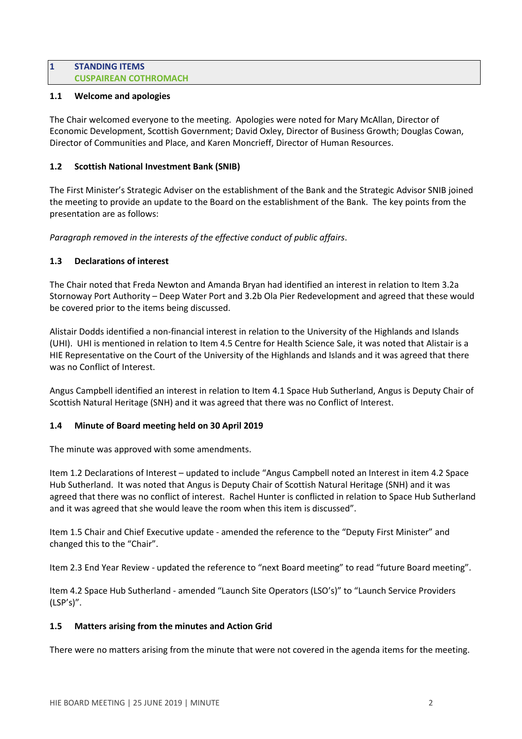#### 1 STANDING ITEMS CUSPAIREAN COTHROMACH

## 1.1 Welcome and apologies

The Chair welcomed everyone to the meeting. Apologies were noted for Mary McAllan, Director of Economic Development, Scottish Government; David Oxley, Director of Business Growth; Douglas Cowan, Director of Communities and Place, and Karen Moncrieff, Director of Human Resources.

## 1.2 Scottish National Investment Bank (SNIB)

The First Minister's Strategic Adviser on the establishment of the Bank and the Strategic Advisor SNIB joined the meeting to provide an update to the Board on the establishment of the Bank. The key points from the presentation are as follows:

Paragraph removed in the interests of the effective conduct of public affairs.

## 1.3 Declarations of interest

The Chair noted that Freda Newton and Amanda Bryan had identified an interest in relation to Item 3.2a Stornoway Port Authority – Deep Water Port and 3.2b Ola Pier Redevelopment and agreed that these would be covered prior to the items being discussed.

Alistair Dodds identified a non-financial interest in relation to the University of the Highlands and Islands (UHI). UHI is mentioned in relation to Item 4.5 Centre for Health Science Sale, it was noted that Alistair is a HIE Representative on the Court of the University of the Highlands and Islands and it was agreed that there was no Conflict of Interest.

Angus Campbell identified an interest in relation to Item 4.1 Space Hub Sutherland, Angus is Deputy Chair of Scottish Natural Heritage (SNH) and it was agreed that there was no Conflict of Interest.

# 1.4 Minute of Board meeting held on 30 April 2019

The minute was approved with some amendments.

Item 1.2 Declarations of Interest – updated to include "Angus Campbell noted an Interest in item 4.2 Space Hub Sutherland. It was noted that Angus is Deputy Chair of Scottish Natural Heritage (SNH) and it was agreed that there was no conflict of interest. Rachel Hunter is conflicted in relation to Space Hub Sutherland and it was agreed that she would leave the room when this item is discussed".

Item 1.5 Chair and Chief Executive update - amended the reference to the "Deputy First Minister" and changed this to the "Chair".

Item 2.3 End Year Review - updated the reference to "next Board meeting" to read "future Board meeting".

Item 4.2 Space Hub Sutherland - amended "Launch Site Operators (LSO's)" to "Launch Service Providers (LSP's)".

# 1.5 Matters arising from the minutes and Action Grid

There were no matters arising from the minute that were not covered in the agenda items for the meeting.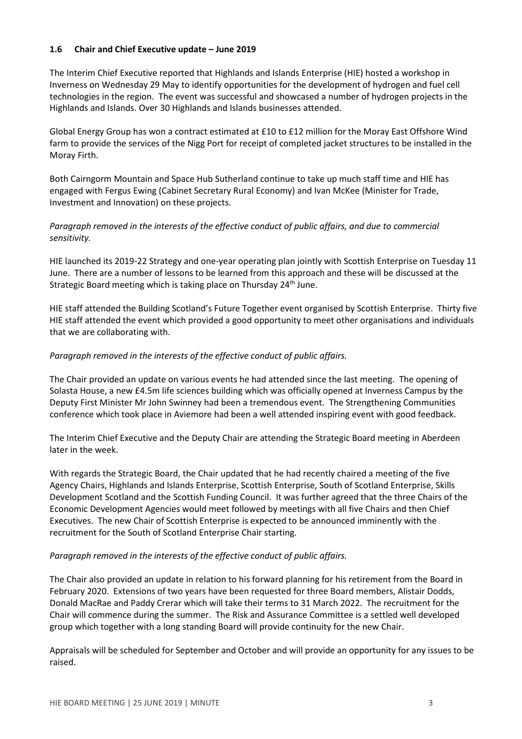## 1.6 Chair and Chief Executive update – June 2019

The Interim Chief Executive reported that Highlands and Islands Enterprise (HIE) hosted a workshop in Inverness on Wednesday 29 May to identify opportunities for the development of hydrogen and fuel cell technologies in the region. The event was successful and showcased a number of hydrogen projects in the Highlands and Islands. Over 30 Highlands and Islands businesses attended.

Global Energy Group has won a contract estimated at £10 to £12 million for the Moray East Offshore Wind farm to provide the services of the Nigg Port for receipt of completed jacket structures to be installed in the Moray Firth.

Both Cairngorm Mountain and Space Hub Sutherland continue to take up much staff time and HIE has engaged with Fergus Ewing (Cabinet Secretary Rural Economy) and Ivan McKee (Minister for Trade, Investment and Innovation) on these projects.

# Paragraph removed in the interests of the effective conduct of public affairs, and due to commercial sensitivity.

HIE launched its 2019-22 Strategy and one-year operating plan jointly with Scottish Enterprise on Tuesday 11 June. There are a number of lessons to be learned from this approach and these will be discussed at the Strategic Board meeting which is taking place on Thursday 24<sup>th</sup> June.

HIE staff attended the Building Scotland's Future Together event organised by Scottish Enterprise. Thirty five HIE staff attended the event which provided a good opportunity to meet other organisations and individuals that we are collaborating with.

# Paragraph removed in the interests of the effective conduct of public affairs.

The Chair provided an update on various events he had attended since the last meeting. The opening of Solasta House, a new £4.5m life sciences building which was officially opened at Inverness Campus by the Deputy First Minister Mr John Swinney had been a tremendous event. The Strengthening Communities conference which took place in Aviemore had been a well attended inspiring event with good feedback.

The Interim Chief Executive and the Deputy Chair are attending the Strategic Board meeting in Aberdeen later in the week.

With regards the Strategic Board, the Chair updated that he had recently chaired a meeting of the five Agency Chairs, Highlands and Islands Enterprise, Scottish Enterprise, South of Scotland Enterprise, Skills Development Scotland and the Scottish Funding Council. It was further agreed that the three Chairs of the Economic Development Agencies would meet followed by meetings with all five Chairs and then Chief Executives. The new Chair of Scottish Enterprise is expected to be announced imminently with the recruitment for the South of Scotland Enterprise Chair starting.

#### Paragraph removed in the interests of the effective conduct of public affairs.

The Chair also provided an update in relation to his forward planning for his retirement from the Board in February 2020. Extensions of two years have been requested for three Board members, Alistair Dodds, Donald MacRae and Paddy Crerar which will take their terms to 31 March 2022. The recruitment for the Chair will commence during the summer. The Risk and Assurance Committee is a settled well developed group which together with a long standing Board will provide continuity for the new Chair.

Appraisals will be scheduled for September and October and will provide an opportunity for any issues to be raised.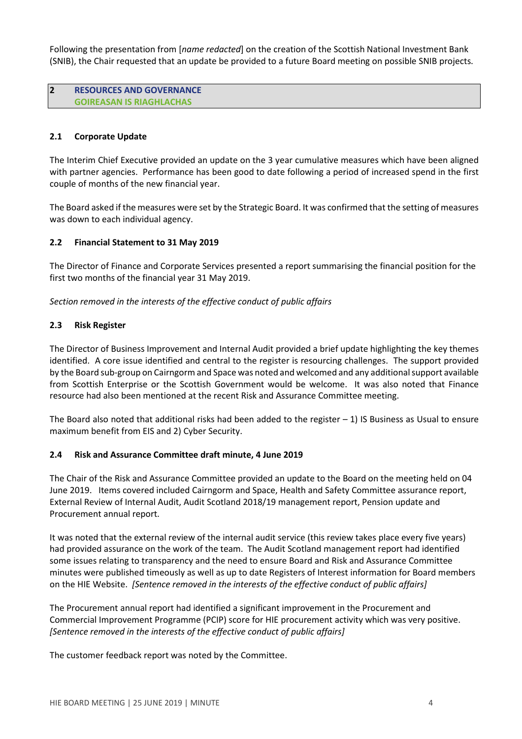Following the presentation from [name redacted] on the creation of the Scottish National Investment Bank (SNIB), the Chair requested that an update be provided to a future Board meeting on possible SNIB projects.

#### 2 RESOURCES AND GOVERNANCE GOIREASAN IS RIAGHLACHAS

## 2.1 Corporate Update

The Interim Chief Executive provided an update on the 3 year cumulative measures which have been aligned with partner agencies. Performance has been good to date following a period of increased spend in the first couple of months of the new financial year.

The Board asked if the measures were set by the Strategic Board. It was confirmed that the setting of measures was down to each individual agency.

#### 2.2 Financial Statement to 31 May 2019

The Director of Finance and Corporate Services presented a report summarising the financial position for the first two months of the financial year 31 May 2019.

Section removed in the interests of the effective conduct of public affairs

## 2.3 Risk Register

The Director of Business Improvement and Internal Audit provided a brief update highlighting the key themes identified. A core issue identified and central to the register is resourcing challenges. The support provided by the Board sub-group on Cairngorm and Space was noted and welcomed and any additional support available from Scottish Enterprise or the Scottish Government would be welcome. It was also noted that Finance resource had also been mentioned at the recent Risk and Assurance Committee meeting.

The Board also noted that additional risks had been added to the register  $-1$ ) IS Business as Usual to ensure maximum benefit from EIS and 2) Cyber Security.

#### 2.4 Risk and Assurance Committee draft minute, 4 June 2019

The Chair of the Risk and Assurance Committee provided an update to the Board on the meeting held on 04 June 2019. Items covered included Cairngorm and Space, Health and Safety Committee assurance report, External Review of Internal Audit, Audit Scotland 2018/19 management report, Pension update and Procurement annual report.

It was noted that the external review of the internal audit service (this review takes place every five years) had provided assurance on the work of the team. The Audit Scotland management report had identified some issues relating to transparency and the need to ensure Board and Risk and Assurance Committee minutes were published timeously as well as up to date Registers of Interest information for Board members on the HIE Website. [Sentence removed in the interests of the effective conduct of public affairs]

The Procurement annual report had identified a significant improvement in the Procurement and Commercial Improvement Programme (PCIP) score for HIE procurement activity which was very positive. [Sentence removed in the interests of the effective conduct of public affairs]

The customer feedback report was noted by the Committee.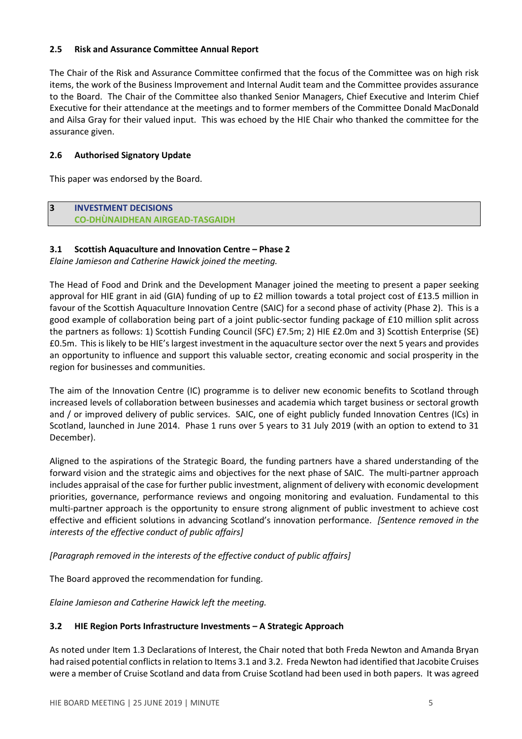## 2.5 Risk and Assurance Committee Annual Report

The Chair of the Risk and Assurance Committee confirmed that the focus of the Committee was on high risk items, the work of the Business Improvement and Internal Audit team and the Committee provides assurance to the Board. The Chair of the Committee also thanked Senior Managers, Chief Executive and Interim Chief Executive for their attendance at the meetings and to former members of the Committee Donald MacDonald and Ailsa Gray for their valued input. This was echoed by the HIE Chair who thanked the committee for the assurance given.

## 2.6 Authorised Signatory Update

This paper was endorsed by the Board.

## 3 INVESTMENT DECISIONS CO-DHÙNAIDHEAN AIRGEAD-TASGAIDH

## 3.1 Scottish Aquaculture and Innovation Centre – Phase 2

Elaine Jamieson and Catherine Hawick joined the meeting.

The Head of Food and Drink and the Development Manager joined the meeting to present a paper seeking approval for HIE grant in aid (GIA) funding of up to £2 million towards a total project cost of £13.5 million in favour of the Scottish Aquaculture Innovation Centre (SAIC) for a second phase of activity (Phase 2). This is a good example of collaboration being part of a joint public-sector funding package of £10 million split across the partners as follows: 1) Scottish Funding Council (SFC) £7.5m; 2) HIE £2.0m and 3) Scottish Enterprise (SE) £0.5m. This is likely to be HIE's largest investment in the aquaculture sector over the next 5 years and provides an opportunity to influence and support this valuable sector, creating economic and social prosperity in the region for businesses and communities.

The aim of the Innovation Centre (IC) programme is to deliver new economic benefits to Scotland through increased levels of collaboration between businesses and academia which target business or sectoral growth and / or improved delivery of public services. SAIC, one of eight publicly funded Innovation Centres (ICs) in Scotland, launched in June 2014. Phase 1 runs over 5 years to 31 July 2019 (with an option to extend to 31 December).

Aligned to the aspirations of the Strategic Board, the funding partners have a shared understanding of the forward vision and the strategic aims and objectives for the next phase of SAIC. The multi-partner approach includes appraisal of the case for further public investment, alignment of delivery with economic development priorities, governance, performance reviews and ongoing monitoring and evaluation. Fundamental to this multi-partner approach is the opportunity to ensure strong alignment of public investment to achieve cost effective and efficient solutions in advancing Scotland's innovation performance. *[Sentence removed in the* interests of the effective conduct of public affairs]

[Paragraph removed in the interests of the effective conduct of public affairs]

The Board approved the recommendation for funding.

Elaine Jamieson and Catherine Hawick left the meeting.

# 3.2 HIE Region Ports Infrastructure Investments – A Strategic Approach

As noted under Item 1.3 Declarations of Interest, the Chair noted that both Freda Newton and Amanda Bryan had raised potential conflicts in relation to Items 3.1 and 3.2. Freda Newton had identified that Jacobite Cruises were a member of Cruise Scotland and data from Cruise Scotland had been used in both papers. It was agreed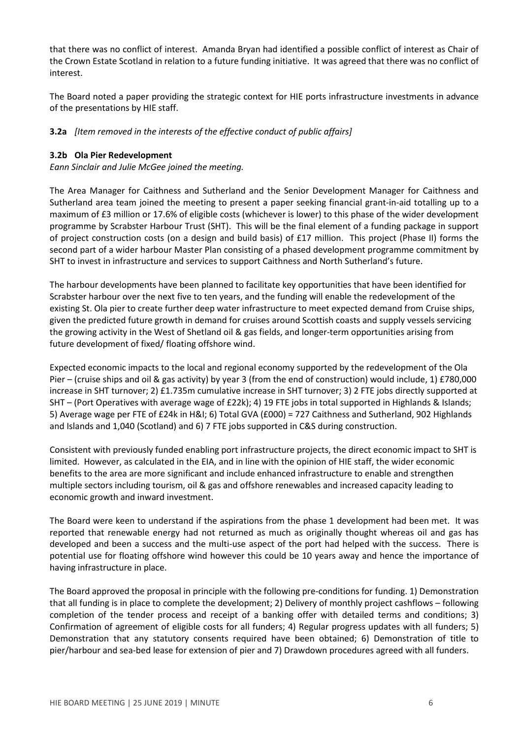that there was no conflict of interest. Amanda Bryan had identified a possible conflict of interest as Chair of the Crown Estate Scotland in relation to a future funding initiative. It was agreed that there was no conflict of interest.

The Board noted a paper providing the strategic context for HIE ports infrastructure investments in advance of the presentations by HIE staff.

## **3.2a** [Item removed in the interests of the effective conduct of public affairs]

#### 3.2b Ola Pier Redevelopment

Eann Sinclair and Julie McGee joined the meeting.

The Area Manager for Caithness and Sutherland and the Senior Development Manager for Caithness and Sutherland area team joined the meeting to present a paper seeking financial grant-in-aid totalling up to a maximum of £3 million or 17.6% of eligible costs (whichever is lower) to this phase of the wider development programme by Scrabster Harbour Trust (SHT). This will be the final element of a funding package in support of project construction costs (on a design and build basis) of £17 million. This project (Phase II) forms the second part of a wider harbour Master Plan consisting of a phased development programme commitment by SHT to invest in infrastructure and services to support Caithness and North Sutherland's future.

The harbour developments have been planned to facilitate key opportunities that have been identified for Scrabster harbour over the next five to ten years, and the funding will enable the redevelopment of the existing St. Ola pier to create further deep water infrastructure to meet expected demand from Cruise ships, given the predicted future growth in demand for cruises around Scottish coasts and supply vessels servicing the growing activity in the West of Shetland oil & gas fields, and longer-term opportunities arising from future development of fixed/ floating offshore wind.

Expected economic impacts to the local and regional economy supported by the redevelopment of the Ola Pier – (cruise ships and oil & gas activity) by year 3 (from the end of construction) would include, 1) £780,000 increase in SHT turnover; 2) £1.735m cumulative increase in SHT turnover; 3) 2 FTE jobs directly supported at SHT – (Port Operatives with average wage of £22k); 4) 19 FTE jobs in total supported in Highlands & Islands; 5) Average wage per FTE of £24k in H&I; 6) Total GVA (£000) = 727 Caithness and Sutherland, 902 Highlands and Islands and 1,040 (Scotland) and 6) 7 FTE jobs supported in C&S during construction.

Consistent with previously funded enabling port infrastructure projects, the direct economic impact to SHT is limited. However, as calculated in the EIA, and in line with the opinion of HIE staff, the wider economic benefits to the area are more significant and include enhanced infrastructure to enable and strengthen multiple sectors including tourism, oil & gas and offshore renewables and increased capacity leading to economic growth and inward investment.

The Board were keen to understand if the aspirations from the phase 1 development had been met. It was reported that renewable energy had not returned as much as originally thought whereas oil and gas has developed and been a success and the multi-use aspect of the port had helped with the success. There is potential use for floating offshore wind however this could be 10 years away and hence the importance of having infrastructure in place.

The Board approved the proposal in principle with the following pre-conditions for funding. 1) Demonstration that all funding is in place to complete the development; 2) Delivery of monthly project cashflows – following completion of the tender process and receipt of a banking offer with detailed terms and conditions; 3) Confirmation of agreement of eligible costs for all funders; 4) Regular progress updates with all funders; 5) Demonstration that any statutory consents required have been obtained; 6) Demonstration of title to pier/harbour and sea-bed lease for extension of pier and 7) Drawdown procedures agreed with all funders.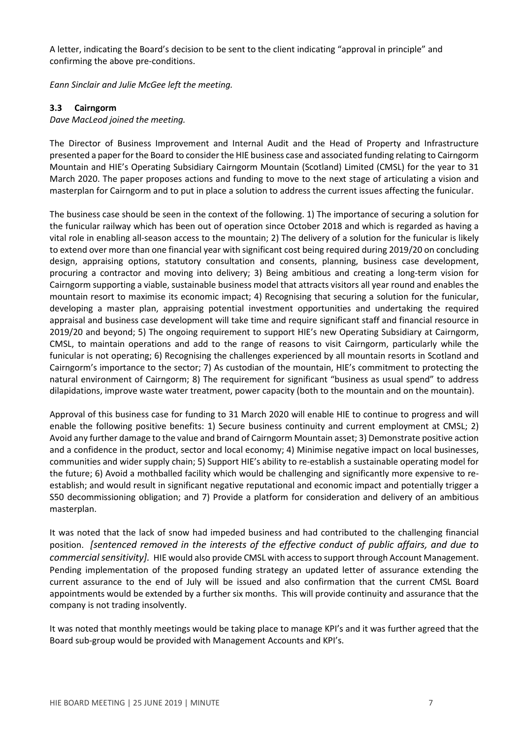A letter, indicating the Board's decision to be sent to the client indicating "approval in principle" and confirming the above pre-conditions.

Eann Sinclair and Julie McGee left the meeting.

## 3.3 Cairngorm

#### Dave MacLeod joined the meeting.

The Director of Business Improvement and Internal Audit and the Head of Property and Infrastructure presented a paper for the Board to consider the HIE business case and associated funding relating to Cairngorm Mountain and HIE's Operating Subsidiary Cairngorm Mountain (Scotland) Limited (CMSL) for the year to 31 March 2020. The paper proposes actions and funding to move to the next stage of articulating a vision and masterplan for Cairngorm and to put in place a solution to address the current issues affecting the funicular.

The business case should be seen in the context of the following. 1) The importance of securing a solution for the funicular railway which has been out of operation since October 2018 and which is regarded as having a vital role in enabling all-season access to the mountain; 2) The delivery of a solution for the funicular is likely to extend over more than one financial year with significant cost being required during 2019/20 on concluding design, appraising options, statutory consultation and consents, planning, business case development, procuring a contractor and moving into delivery; 3) Being ambitious and creating a long-term vision for Cairngorm supporting a viable, sustainable business model that attracts visitors all year round and enables the mountain resort to maximise its economic impact; 4) Recognising that securing a solution for the funicular, developing a master plan, appraising potential investment opportunities and undertaking the required appraisal and business case development will take time and require significant staff and financial resource in 2019/20 and beyond; 5) The ongoing requirement to support HIE's new Operating Subsidiary at Cairngorm, CMSL, to maintain operations and add to the range of reasons to visit Cairngorm, particularly while the funicular is not operating; 6) Recognising the challenges experienced by all mountain resorts in Scotland and Cairngorm's importance to the sector; 7) As custodian of the mountain, HIE's commitment to protecting the natural environment of Cairngorm; 8) The requirement for significant "business as usual spend" to address dilapidations, improve waste water treatment, power capacity (both to the mountain and on the mountain).

Approval of this business case for funding to 31 March 2020 will enable HIE to continue to progress and will enable the following positive benefits: 1) Secure business continuity and current employment at CMSL; 2) Avoid any further damage to the value and brand of Cairngorm Mountain asset; 3) Demonstrate positive action and a confidence in the product, sector and local economy; 4) Minimise negative impact on local businesses, communities and wider supply chain; 5) Support HIE's ability to re-establish a sustainable operating model for the future; 6) Avoid a mothballed facility which would be challenging and significantly more expensive to reestablish; and would result in significant negative reputational and economic impact and potentially trigger a S50 decommissioning obligation; and 7) Provide a platform for consideration and delivery of an ambitious masterplan.

It was noted that the lack of snow had impeded business and had contributed to the challenging financial position. [sentenced removed in the interests of the effective conduct of public affairs, and due to commercial sensitivity]. HIE would also provide CMSL with access to support through Account Management. Pending implementation of the proposed funding strategy an updated letter of assurance extending the current assurance to the end of July will be issued and also confirmation that the current CMSL Board appointments would be extended by a further six months. This will provide continuity and assurance that the company is not trading insolvently.

It was noted that monthly meetings would be taking place to manage KPI's and it was further agreed that the Board sub-group would be provided with Management Accounts and KPI's.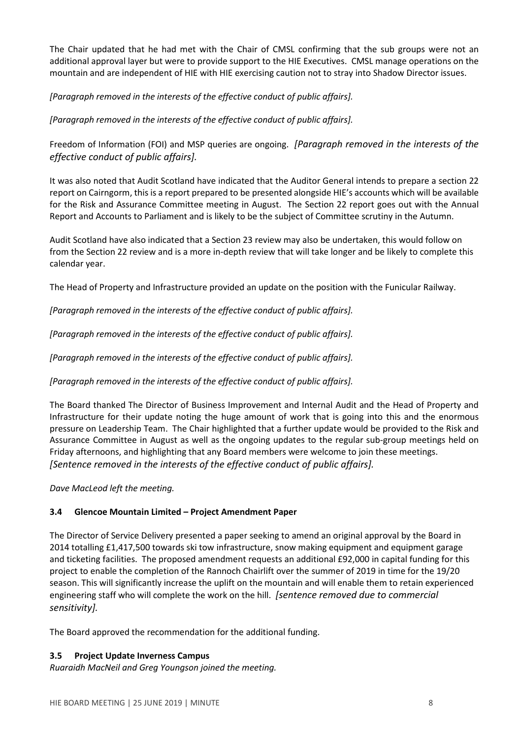The Chair updated that he had met with the Chair of CMSL confirming that the sub groups were not an additional approval layer but were to provide support to the HIE Executives. CMSL manage operations on the mountain and are independent of HIE with HIE exercising caution not to stray into Shadow Director issues.

[Paragraph removed in the interests of the effective conduct of public affairs].

[Paragraph removed in the interests of the effective conduct of public affairs].

Freedom of Information (FOI) and MSP queries are ongoing. *[Paragraph removed in the interests of the* effective conduct of public affairs].

It was also noted that Audit Scotland have indicated that the Auditor General intends to prepare a section 22 report on Cairngorm, this is a report prepared to be presented alongside HIE's accounts which will be available for the Risk and Assurance Committee meeting in August. The Section 22 report goes out with the Annual Report and Accounts to Parliament and is likely to be the subject of Committee scrutiny in the Autumn.

Audit Scotland have also indicated that a Section 23 review may also be undertaken, this would follow on from the Section 22 review and is a more in-depth review that will take longer and be likely to complete this calendar year.

The Head of Property and Infrastructure provided an update on the position with the Funicular Railway.

[Paragraph removed in the interests of the effective conduct of public affairs].

[Paragraph removed in the interests of the effective conduct of public affairs].

[Paragraph removed in the interests of the effective conduct of public affairs].

[Paragraph removed in the interests of the effective conduct of public affairs].

The Board thanked The Director of Business Improvement and Internal Audit and the Head of Property and Infrastructure for their update noting the huge amount of work that is going into this and the enormous pressure on Leadership Team. The Chair highlighted that a further update would be provided to the Risk and Assurance Committee in August as well as the ongoing updates to the regular sub-group meetings held on Friday afternoons, and highlighting that any Board members were welcome to join these meetings. [Sentence removed in the interests of the effective conduct of public affairs].

Dave MacLeod left the meeting.

# 3.4 Glencoe Mountain Limited – Project Amendment Paper

The Director of Service Delivery presented a paper seeking to amend an original approval by the Board in 2014 totalling £1,417,500 towards ski tow infrastructure, snow making equipment and equipment garage and ticketing facilities. The proposed amendment requests an additional £92,000 in capital funding for this project to enable the completion of the Rannoch Chairlift over the summer of 2019 in time for the 19/20 season. This will significantly increase the uplift on the mountain and will enable them to retain experienced engineering staff who will complete the work on the hill. [sentence removed due to commercial sensitivity].

The Board approved the recommendation for the additional funding.

# 3.5 Project Update Inverness Campus

Ruaraidh MacNeil and Greg Youngson joined the meeting.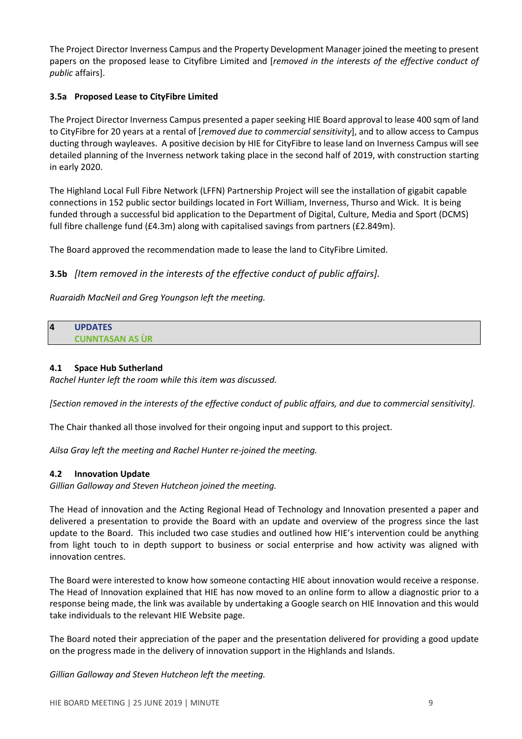The Project Director Inverness Campus and the Property Development Manager joined the meeting to present papers on the proposed lease to Cityfibre Limited and [removed in the interests of the effective conduct of public affairs].

## 3.5a Proposed Lease to CityFibre Limited

The Project Director Inverness Campus presented a paper seeking HIE Board approval to lease 400 sqm of land to CityFibre for 20 years at a rental of [removed due to commercial sensitivity], and to allow access to Campus ducting through wayleaves. A positive decision by HIE for CityFibre to lease land on Inverness Campus will see detailed planning of the Inverness network taking place in the second half of 2019, with construction starting in early 2020.

The Highland Local Full Fibre Network (LFFN) Partnership Project will see the installation of gigabit capable connections in 152 public sector buildings located in Fort William, Inverness, Thurso and Wick. It is being funded through a successful bid application to the Department of Digital, Culture, Media and Sport (DCMS) full fibre challenge fund (£4.3m) along with capitalised savings from partners (£2.849m).

The Board approved the recommendation made to lease the land to CityFibre Limited.

# 3.5b [Item removed in the interests of the effective conduct of public affairs].

Ruaraidh MacNeil and Greg Youngson left the meeting.

#### 4 UPDATES CUNNTASAN AS ÙR

## 4.1 Space Hub Sutherland

Rachel Hunter left the room while this item was discussed.

[Section removed in the interests of the effective conduct of public affairs, and due to commercial sensitivity].

The Chair thanked all those involved for their ongoing input and support to this project.

Ailsa Gray left the meeting and Rachel Hunter re-joined the meeting.

#### 4.2 Innovation Update

Gillian Galloway and Steven Hutcheon joined the meeting.

The Head of innovation and the Acting Regional Head of Technology and Innovation presented a paper and delivered a presentation to provide the Board with an update and overview of the progress since the last update to the Board. This included two case studies and outlined how HIE's intervention could be anything from light touch to in depth support to business or social enterprise and how activity was aligned with innovation centres.

The Board were interested to know how someone contacting HIE about innovation would receive a response. The Head of Innovation explained that HIE has now moved to an online form to allow a diagnostic prior to a response being made, the link was available by undertaking a Google search on HIE Innovation and this would take individuals to the relevant HIE Website page.

The Board noted their appreciation of the paper and the presentation delivered for providing a good update on the progress made in the delivery of innovation support in the Highlands and Islands.

Gillian Galloway and Steven Hutcheon left the meeting.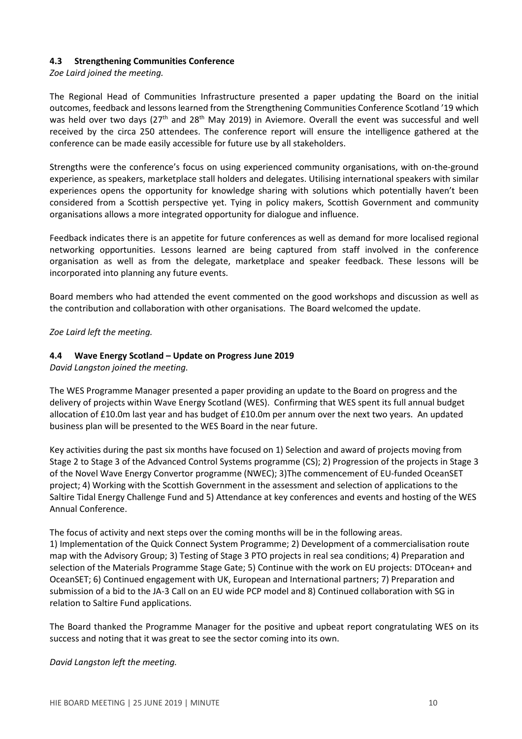## 4.3 Strengthening Communities Conference

## Zoe Laird joined the meeting.

The Regional Head of Communities Infrastructure presented a paper updating the Board on the initial outcomes, feedback and lessons learned from the Strengthening Communities Conference Scotland '19 which was held over two days (27<sup>th</sup> and 28<sup>th</sup> May 2019) in Aviemore. Overall the event was successful and well received by the circa 250 attendees. The conference report will ensure the intelligence gathered at the conference can be made easily accessible for future use by all stakeholders.

Strengths were the conference's focus on using experienced community organisations, with on-the-ground experience, as speakers, marketplace stall holders and delegates. Utilising international speakers with similar experiences opens the opportunity for knowledge sharing with solutions which potentially haven't been considered from a Scottish perspective yet. Tying in policy makers, Scottish Government and community organisations allows a more integrated opportunity for dialogue and influence.

Feedback indicates there is an appetite for future conferences as well as demand for more localised regional networking opportunities. Lessons learned are being captured from staff involved in the conference organisation as well as from the delegate, marketplace and speaker feedback. These lessons will be incorporated into planning any future events.

Board members who had attended the event commented on the good workshops and discussion as well as the contribution and collaboration with other organisations. The Board welcomed the update.

Zoe Laird left the meeting.

## 4.4 Wave Energy Scotland – Update on Progress June 2019

David Langston joined the meeting.

The WES Programme Manager presented a paper providing an update to the Board on progress and the delivery of projects within Wave Energy Scotland (WES). Confirming that WES spent its full annual budget allocation of £10.0m last year and has budget of £10.0m per annum over the next two years. An updated business plan will be presented to the WES Board in the near future.

Key activities during the past six months have focused on 1) Selection and award of projects moving from Stage 2 to Stage 3 of the Advanced Control Systems programme (CS); 2) Progression of the projects in Stage 3 of the Novel Wave Energy Convertor programme (NWEC); 3)The commencement of EU-funded OceanSET project; 4) Working with the Scottish Government in the assessment and selection of applications to the Saltire Tidal Energy Challenge Fund and 5) Attendance at key conferences and events and hosting of the WES Annual Conference.

The focus of activity and next steps over the coming months will be in the following areas. 1) Implementation of the Quick Connect System Programme; 2) Development of a commercialisation route map with the Advisory Group; 3) Testing of Stage 3 PTO projects in real sea conditions; 4) Preparation and selection of the Materials Programme Stage Gate; 5) Continue with the work on EU projects: DTOcean+ and OceanSET; 6) Continued engagement with UK, European and International partners; 7) Preparation and submission of a bid to the JA-3 Call on an EU wide PCP model and 8) Continued collaboration with SG in relation to Saltire Fund applications.

The Board thanked the Programme Manager for the positive and upbeat report congratulating WES on its success and noting that it was great to see the sector coming into its own.

David Langston left the meeting.